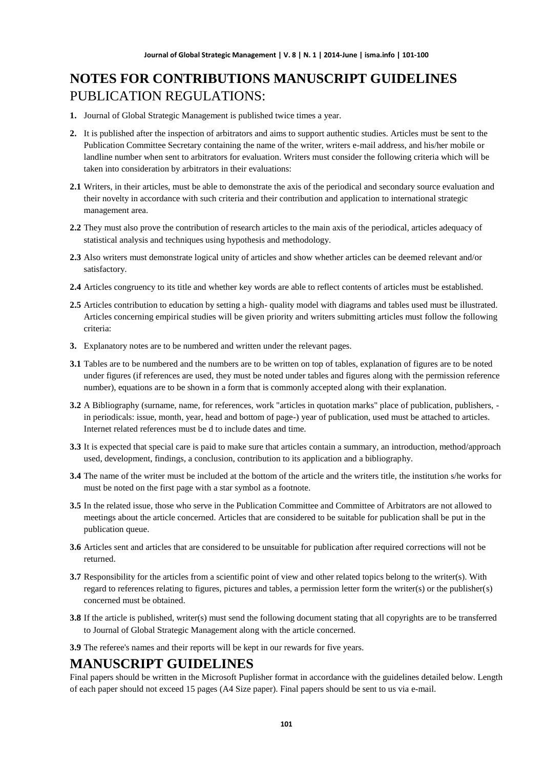# **NOTES FOR CONTRIBUTIONS MANUSCRIPT GUIDELINES** PUBLICATION REGULATIONS:

- **1.** Journal of Global Strategic Management is published twice times a year.
- **2.** It is published after the inspection of arbitrators and aims to support authentic studies. Articles must be sent to the Publication Committee Secretary containing the name of the writer, writers e-mail address, and his/her mobile or landline number when sent to arbitrators for evaluation. Writers must consider the following criteria which will be taken into consideration by arbitrators in their evaluations:
- **2.1** Writers, in their articles, must be able to demonstrate the axis of the periodical and secondary source evaluation and their novelty in accordance with such criteria and their contribution and application to international strategic management area.
- **2.2** They must also prove the contribution of research articles to the main axis of the periodical, articles adequacy of statistical analysis and techniques using hypothesis and methodology.
- **2.3** Also writers must demonstrate logical unity of articles and show whether articles can be deemed relevant and/or satisfactory.
- **2.4** Articles congruency to its title and whether key words are able to reflect contents of articles must be established.
- **2.5** Articles contribution to education by setting a high- quality model with diagrams and tables used must be illustrated. Articles concerning empirical studies will be given priority and writers submitting articles must follow the following criteria:
- **3.** Explanatory notes are to be numbered and written under the relevant pages.
- **3.1** Tables are to be numbered and the numbers are to be written on top of tables, explanation of figures are to be noted under figures (if references are used, they must be noted under tables and figures along with the permission reference number), equations are to be shown in a form that is commonly accepted along with their explanation.
- **3.2** A Bibliography (surname, name, for references, work "articles in quotation marks" place of publication, publishers, in periodicals: issue, month, year, head and bottom of page-) year of publication, used must be attached to articles. Internet related references must be d to include dates and time.
- **3.3** It is expected that special care is paid to make sure that articles contain a summary, an introduction, method/approach used, development, findings, a conclusion, contribution to its application and a bibliography.
- **3.4** The name of the writer must be included at the bottom of the article and the writers title, the institution s/he works for must be noted on the first page with a star symbol as a footnote.
- **3.5** In the related issue, those who serve in the Publication Committee and Committee of Arbitrators are not allowed to meetings about the article concerned. Articles that are considered to be suitable for publication shall be put in the publication queue.
- **3.6** Articles sent and articles that are considered to be unsuitable for publication after required corrections will not be returned.
- **3.7** Responsibility for the articles from a scientific point of view and other related topics belong to the writer(s). With regard to references relating to figures, pictures and tables, a permission letter form the writer(s) or the publisher(s) concerned must be obtained.
- **3.8** If the article is published, writer(s) must send the following document stating that all copyrights are to be transferred to Journal of Global Strategic Management along with the article concerned.

**3.9** The referee's names and their reports will be kept in our rewards for five years.

#### **MANUSCRIPT GUIDELINES**

Final papers should be written in the Microsoft Puplisher format in accordance with the guidelines detailed below. Length of each paper should not exceed 15 pages (A4 Size paper). Final papers should be sent to us via e-mail.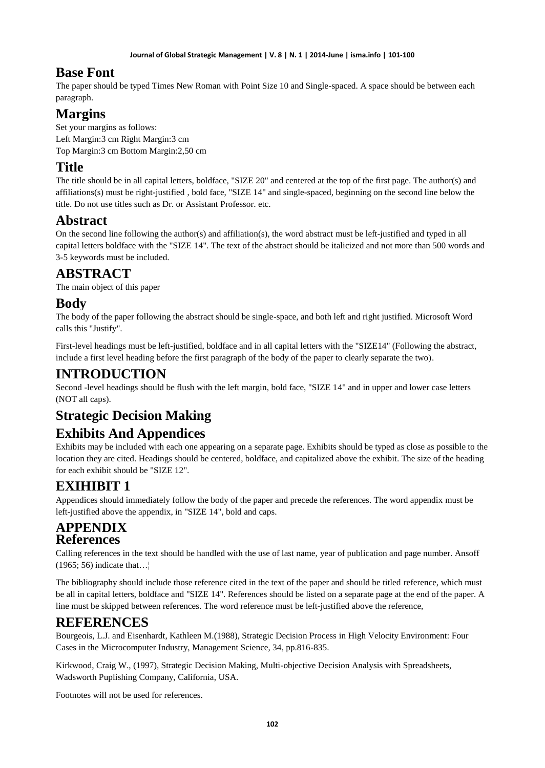### **Base Font**

The paper should be typed Times New Roman with Point Size 10 and Single-spaced. A space should be between each paragraph.

# **Margins**

Set your margins as follows: Left Margin:3 cm Right Margin:3 cm Top Margin:3 cm Bottom Margin:2,50 cm

### **Title**

The title should be in all capital letters, boldface, "SIZE 20" and centered at the top of the first page. The author(s) and affiliations(s) must be right-justified , bold face, "SIZE 14" and single-spaced, beginning on the second line below the title. Do not use titles such as Dr. or Assistant Professor. etc.

### **Abstract**

On the second line following the author(s) and affiliation(s), the word abstract must be left-justified and typed in all capital letters boldface with the "SIZE 14". The text of the abstract should be italicized and not more than 500 words and 3-5 keywords must be included.

## **ABSTRACT**

The main object of this paper

#### **Body**

The body of the paper following the abstract should be single-space, and both left and right justified. Microsoft Word calls this "Justify".

First-level headings must be left-justified, boldface and in all capital letters with the "SIZE14" (Following the abstract, include a first level heading before the first paragraph of the body of the paper to clearly separate the two).

# **INTRODUCTION**

Second -level headings should be flush with the left margin, bold face, "SIZE 14" and in upper and lower case letters (NOT all caps).

# **Strategic Decision Making**

### **Exhibits And Appendices**

Exhibits may be included with each one appearing on a separate page. Exhibits should be typed as close as possible to the location they are cited. Headings should be centered, boldface, and capitalized above the exhibit. The size of the heading for each exhibit should be "SIZE 12".

# **EXIHIBIT 1**

Appendices should immediately follow the body of the paper and precede the references. The word appendix must be left-justified above the appendix, in "SIZE 14", bold and caps.

#### **APPENDIX References**

Calling references in the text should be handled with the use of last name, year of publication and page number. Ansoff  $(1965; 56)$  indicate that...

The bibliography should include those reference cited in the text of the paper and should be titled reference, which must be all in capital letters, boldface and "SIZE 14". References should be listed on a separate page at the end of the paper. A line must be skipped between references. The word reference must be left-justified above the reference,

#### **REFERENCES**

Bourgeois, L.J. and Eisenhardt, Kathleen M.(1988), Strategic Decision Process in High Velocity Environment: Four Cases in the Microcomputer Industry, Management Science, 34, pp.816-835.

Kirkwood, Craig W., (1997), Strategic Decision Making, Multi-objective Decision Analysis with Spreadsheets, Wadsworth Puplishing Company, California, USA.

Footnotes will not be used for references.